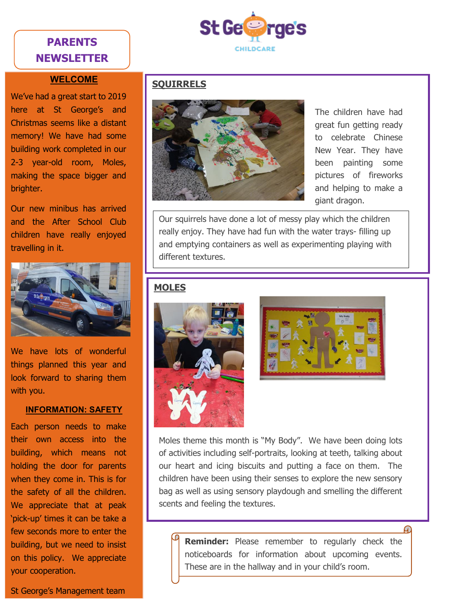# **PARENTS NEWSLETTER**



# **WELCOME**

We've had a great start to 2019 here at St George's and Christmas seems like a distant memory! We have had some building work completed in our 2-3 year-old room, Moles, making the space bigger and brighter.

Our new minibus has arrived and the After School Club children have really enjoyed travelling in it.



We have lots of wonderful things planned this year and look forward to sharing them with you.

#### **INFORMATION: SAFETY**

Each person needs to make their own access into the building, which means not holding the door for parents when they come in. This is for the safety of all the children. We appreciate that at peak 'pick-up' times it can be take a few seconds more to enter the building, but we need to insist on this policy. We appreciate your cooperation.

# **SQUIRRELS**



The children have had great fun getting ready to celebrate Chinese New Year. They have been painting some pictures of fireworks and helping to make a giant dragon.

Our squirrels have done a lot of messy play which the children really enjoy. They have had fun with the water trays- filling up and emptying containers as well as experimenting playing with different textures.

## **MOLES**





Moles theme this month is "My Body". We have been doing lots of activities including self-portraits, looking at teeth, talking about our heart and icing biscuits and putting a face on them. The children have been using their senses to explore the new sensory bag as well as using sensory playdough and smelling the different scents and feeling the textures.

> **Reminder:** Please remember to regularly check the noticeboards for information about upcoming events. These are in the hallway and in your child's room.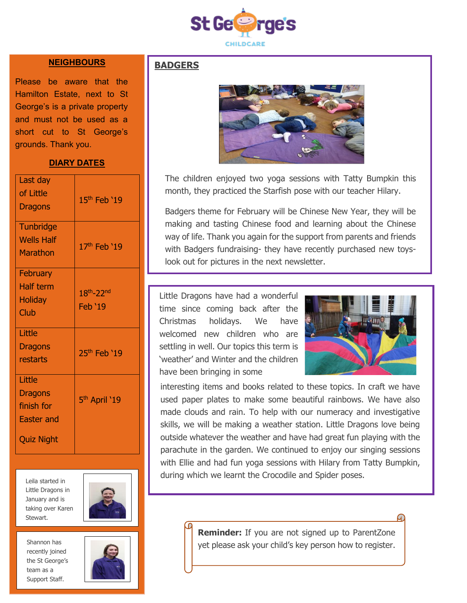

#### **NEIGHBOURS**

Please be aware that the Hamilton Estate, next to St George's is a private property and must not be used as a short cut to St George's grounds. Thank you.

#### **DIARY DATES**

| Last day<br>of Little<br><b>Dragons</b>                     | 15th Feb '19                |
|-------------------------------------------------------------|-----------------------------|
| Tunbridge<br><b>Wells Half</b><br>Marathon                  | 17 <sup>th</sup> Feb '19    |
| February<br><b>Half term</b><br><b>Holiday</b><br>Club      | 18th-22nd<br><b>Feb '19</b> |
| Little<br><b>Dragons</b><br>restarts                        | 25 <sup>th</sup> Feb '19    |
| Little<br><b>Dragons</b><br>finish for<br><b>Easter and</b> | 5 <sup>th</sup> April '19   |
| <b>Quiz Night</b>                                           |                             |

Leila started in Little Dragons in January and is taking over Karen Stewart.



Shannon has recently joined the St George's team as a Support Staff.



## **BADGERS**



The children enjoyed two yoga sessions with Tatty Bumpkin this month, they practiced the Starfish pose with our teacher Hilary.

Badgers theme for February will be Chinese New Year, they will be making and tasting Chinese food and learning about the Chinese way of life. Thank you again for the support from parents and friends with Badgers fundraising- they have recently purchased new toyslook out for pictures in the next newsletter.

Little Dragons have had a wonderful time since coming back after the Christmas holidays. We have welcomed new children who are settling in well. Our topics this term is 'weather' and Winter and the children have been bringing in some



interesting items and books related to these topics. In craft we have used paper plates to make some beautiful rainbows. We have also made clouds and rain. To help with our numeracy and investigative skills, we will be making a weather station. Little Dragons love being outside whatever the weather and have had great fun playing with the parachute in the garden. We continued to enjoy our singing sessions with Ellie and had fun yoga sessions with Hilary from Tatty Bumpkin, during which we learnt the Crocodile and Spider poses.

> **Reminder:** If you are not signed up to ParentZone yet please ask your child's key person how to register.